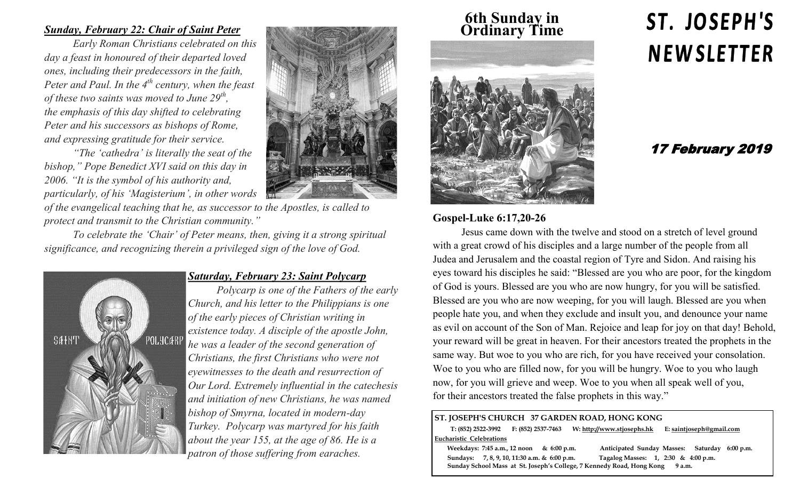#### *Sunday, February 22: Chair of Saint Peter*

*Early Roman Christians celebrated on this day a feast in honoured of their departed loved ones, including their predecessors in the faith, Peter and Paul. In the 4th century, when the feast of these two saints was moved to June 29th , the emphasis of this day shifted to celebrating Peter and his successors as bishops of Rome, and expressing gratitude for their service.* 

*"The 'cathedra' is literally the seat of the bishop," Pope Benedict XVI said on this day in 2006. "It is the symbol of his authority and, particularly, of his 'Magisterium', in other words of the evangelical teaching that he, as successor to the Apostles, is called to protect and transmit to the Christian community."*

*To celebrate the 'Chair' of Peter means, then, giving it a strong spiritual significance, and recognizing therein a privileged sign of the love of God.* 



#### *Saturday, February 23: Saint Polycarp*

*Polycarp is one of the Fathers of the early Church, and his letter to the Philippians is one of the early pieces of Christian writing in existence today. A disciple of the apostle John, he was a leader of the second generation of Christians, the first Christians who were not eyewitnesses to the death and resurrection of Our Lord. Extremely influential in the catechesis and initiation of new Christians, he was named bishop of Smyrna, located in modern-day Turkey. Polycarp was martyred for his faith about the year 155, at the age of 86. He is a patron of those suffering from earaches.* 

**6th Sunday in Ordinary Time**



#### **Gospel-Luke 6:17,20-26**

Jesus came down with the twelve and stood on a stretch of level ground with a great crowd of his disciples and a large number of the people from all Judea and Jerusalem and the coastal region of Tyre and Sidon. And raising his eyes toward his disciples he said: "Blessed are you who are poor, for the kingdom of God is yours. Blessed are you who are now hungry, for you will be satisfied. Blessed are you who are now weeping, for you will laugh. Blessed are you when people hate you, and when they exclude and insult you, and denounce your name as evil on account of the Son of Man. Rejoice and leap for joy on that day! Behold, your reward will be great in heaven. For their ancestors treated the prophets in the same way. But woe to you who are rich, for you have received your consolation. Woe to you who are filled now, for you will be hungry. Woe to you who laugh now, for you will grieve and weep. Woe to you when all speak well of you, for their ancestors treated the false prophets in this way."

#### **ST. JOSEPH'S CHURCH 37 GARDEN ROAD, HONG KONG**

 **T: (852) 2522-3992 F: (852) 2537-7463 W: http://www.stjosephs.hk E: saintjoseph@gmail.com Eucharistic Celebrations** 

 **Weekdays: 7:45 a.m., 12 noon & 6:00 p.m. Anticipated Sunday Masses: Saturday 6:00 p.m. Sundays: 7, 8, 9, 10, 11:30 a.m. & 6:00 p.m. Tagalog Masses: 1, 2:30 & 4:00 p.m. Sunday School Mass at St. Joseph's College, 7 Kennedy Road, Hong Kong 9 a.m.** 

# ST. JOSEPH'S **NEWSLETTER**

### 17 February 2019